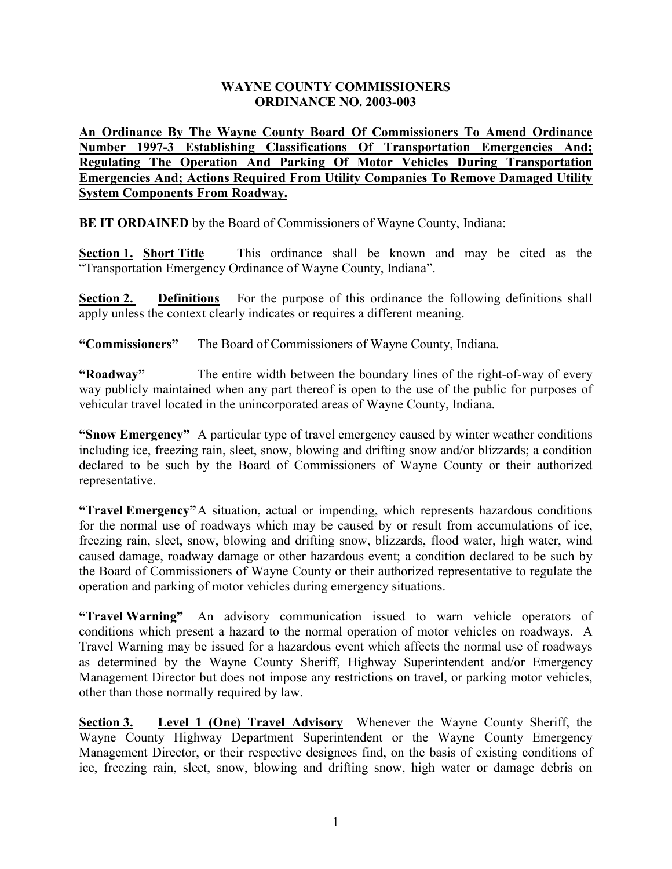## **WAYNE COUNTY COMMISSIONERS ORDINANCE NO. 2003-003**

**An Ordinance By The Wayne County Board Of Commissioners To Amend Ordinance Number 1997-3 Establishing Classifications Of Transportation Emergencies And; Regulating The Operation And Parking Of Motor Vehicles During Transportation Emergencies And; Actions Required From Utility Companies To Remove Damaged Utility System Components From Roadway.**

**BE IT ORDAINED** by the Board of Commissioners of Wayne County, Indiana:

**Section 1. Short Title** This ordinance shall be known and may be cited as the "Transportation Emergency Ordinance of Wayne County, Indiana".

**Section 2. Definitions** For the purpose of this ordinance the following definitions shall apply unless the context clearly indicates or requires a different meaning.

**"Commissioners"** The Board of Commissioners of Wayne County, Indiana.

**"Roadway"** The entire width between the boundary lines of the right-of-way of every way publicly maintained when any part thereof is open to the use of the public for purposes of vehicular travel located in the unincorporated areas of Wayne County, Indiana.

**"Snow Emergency"** A particular type of travel emergency caused by winter weather conditions including ice, freezing rain, sleet, snow, blowing and drifting snow and/or blizzards; a condition declared to be such by the Board of Commissioners of Wayne County or their authorized representative.

**"Travel Emergency"**A situation, actual or impending, which represents hazardous conditions for the normal use of roadways which may be caused by or result from accumulations of ice, freezing rain, sleet, snow, blowing and drifting snow, blizzards, flood water, high water, wind caused damage, roadway damage or other hazardous event; a condition declared to be such by the Board of Commissioners of Wayne County or their authorized representative to regulate the operation and parking of motor vehicles during emergency situations.

**"Travel Warning"** An advisory communication issued to warn vehicle operators of conditions which present a hazard to the normal operation of motor vehicles on roadways. A Travel Warning may be issued for a hazardous event which affects the normal use of roadways as determined by the Wayne County Sheriff, Highway Superintendent and/or Emergency Management Director but does not impose any restrictions on travel, or parking motor vehicles, other than those normally required by law.

**Section 3. Level 1 (One) Travel Advisory** Whenever the Wayne County Sheriff, the Wayne County Highway Department Superintendent or the Wayne County Emergency Management Director, or their respective designees find, on the basis of existing conditions of ice, freezing rain, sleet, snow, blowing and drifting snow, high water or damage debris on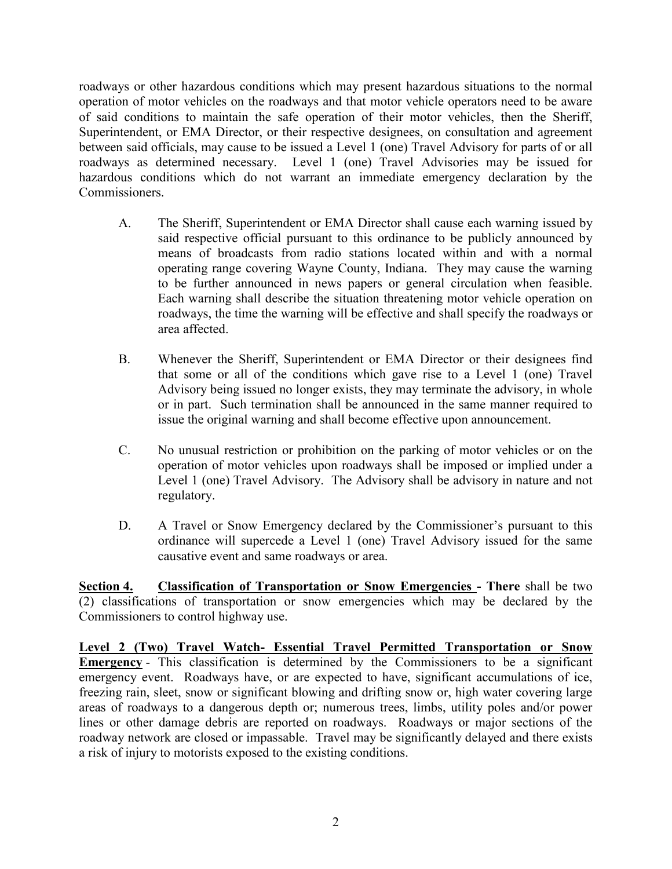roadways or other hazardous conditions which may present hazardous situations to the normal operation of motor vehicles on the roadways and that motor vehicle operators need to be aware of said conditions to maintain the safe operation of their motor vehicles, then the Sheriff, Superintendent, or EMA Director, or their respective designees, on consultation and agreement between said officials, may cause to be issued a Level 1 (one) Travel Advisory for parts of or all roadways as determined necessary. Level 1 (one) Travel Advisories may be issued for hazardous conditions which do not warrant an immediate emergency declaration by the Commissioners.

- A. The Sheriff, Superintendent or EMA Director shall cause each warning issued by said respective official pursuant to this ordinance to be publicly announced by means of broadcasts from radio stations located within and with a normal operating range covering Wayne County, Indiana. They may cause the warning to be further announced in news papers or general circulation when feasible. Each warning shall describe the situation threatening motor vehicle operation on roadways, the time the warning will be effective and shall specify the roadways or area affected.
- B. Whenever the Sheriff, Superintendent or EMA Director or their designees find that some or all of the conditions which gave rise to a Level 1 (one) Travel Advisory being issued no longer exists, they may terminate the advisory, in whole or in part. Such termination shall be announced in the same manner required to issue the original warning and shall become effective upon announcement.
- C. No unusual restriction or prohibition on the parking of motor vehicles or on the operation of motor vehicles upon roadways shall be imposed or implied under a Level 1 (one) Travel Advisory. The Advisory shall be advisory in nature and not regulatory.
- D. A Travel or Snow Emergency declared by the Commissioner's pursuant to this ordinance will supercede a Level 1 (one) Travel Advisory issued for the same causative event and same roadways or area.

**Section 4. Classification of Transportation or Snow Emergencies - There** shall be two (2) classifications of transportation or snow emergencies which may be declared by the Commissioners to control highway use.

**Level 2 (Two) Travel Watch- Essential Travel Permitted Transportation or Snow Emergency** - This classification is determined by the Commissioners to be a significant emergency event. Roadways have, or are expected to have, significant accumulations of ice, freezing rain, sleet, snow or significant blowing and drifting snow or, high water covering large areas of roadways to a dangerous depth or; numerous trees, limbs, utility poles and/or power lines or other damage debris are reported on roadways. Roadways or major sections of the roadway network are closed or impassable. Travel may be significantly delayed and there exists a risk of injury to motorists exposed to the existing conditions.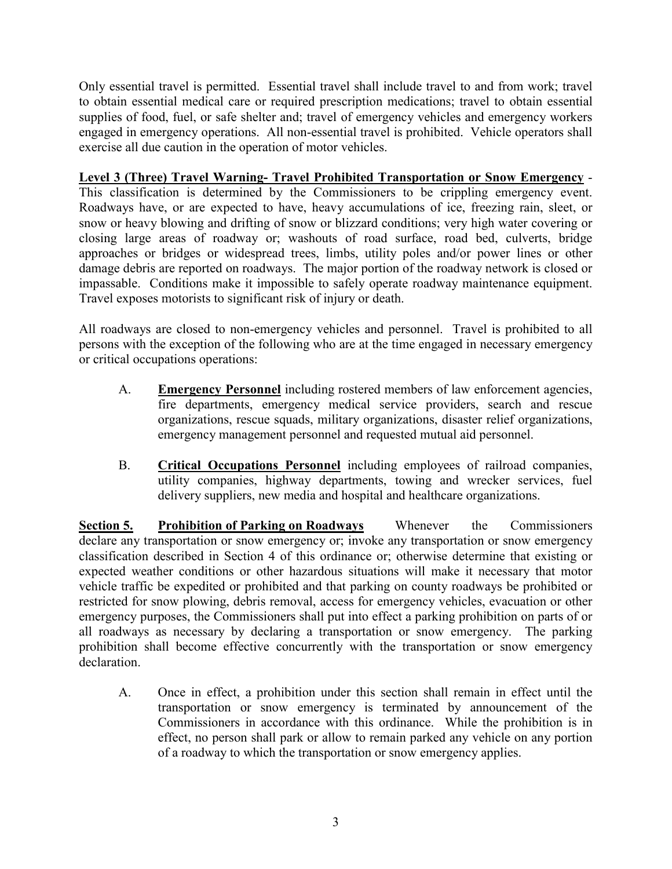Only essential travel is permitted. Essential travel shall include travel to and from work; travel to obtain essential medical care or required prescription medications; travel to obtain essential supplies of food, fuel, or safe shelter and; travel of emergency vehicles and emergency workers engaged in emergency operations. All non-essential travel is prohibited. Vehicle operators shall exercise all due caution in the operation of motor vehicles.

**Level 3 (Three) Travel Warning- Travel Prohibited Transportation or Snow Emergency** - This classification is determined by the Commissioners to be crippling emergency event. Roadways have, or are expected to have, heavy accumulations of ice, freezing rain, sleet, or snow or heavy blowing and drifting of snow or blizzard conditions; very high water covering or closing large areas of roadway or; washouts of road surface, road bed, culverts, bridge approaches or bridges or widespread trees, limbs, utility poles and/or power lines or other damage debris are reported on roadways. The major portion of the roadway network is closed or impassable. Conditions make it impossible to safely operate roadway maintenance equipment. Travel exposes motorists to significant risk of injury or death.

All roadways are closed to non-emergency vehicles and personnel. Travel is prohibited to all persons with the exception of the following who are at the time engaged in necessary emergency or critical occupations operations:

- A. **Emergency Personnel** including rostered members of law enforcement agencies, fire departments, emergency medical service providers, search and rescue organizations, rescue squads, military organizations, disaster relief organizations, emergency management personnel and requested mutual aid personnel.
- B. **Critical Occupations Personnel** including employees of railroad companies, utility companies, highway departments, towing and wrecker services, fuel delivery suppliers, new media and hospital and healthcare organizations.

**Section 5. Prohibition of Parking on Roadways** Whenever the Commissioners declare any transportation or snow emergency or; invoke any transportation or snow emergency classification described in Section 4 of this ordinance or; otherwise determine that existing or expected weather conditions or other hazardous situations will make it necessary that motor vehicle traffic be expedited or prohibited and that parking on county roadways be prohibited or restricted for snow plowing, debris removal, access for emergency vehicles, evacuation or other emergency purposes, the Commissioners shall put into effect a parking prohibition on parts of or all roadways as necessary by declaring a transportation or snow emergency. The parking prohibition shall become effective concurrently with the transportation or snow emergency declaration.

A. Once in effect, a prohibition under this section shall remain in effect until the transportation or snow emergency is terminated by announcement of the Commissioners in accordance with this ordinance. While the prohibition is in effect, no person shall park or allow to remain parked any vehicle on any portion of a roadway to which the transportation or snow emergency applies.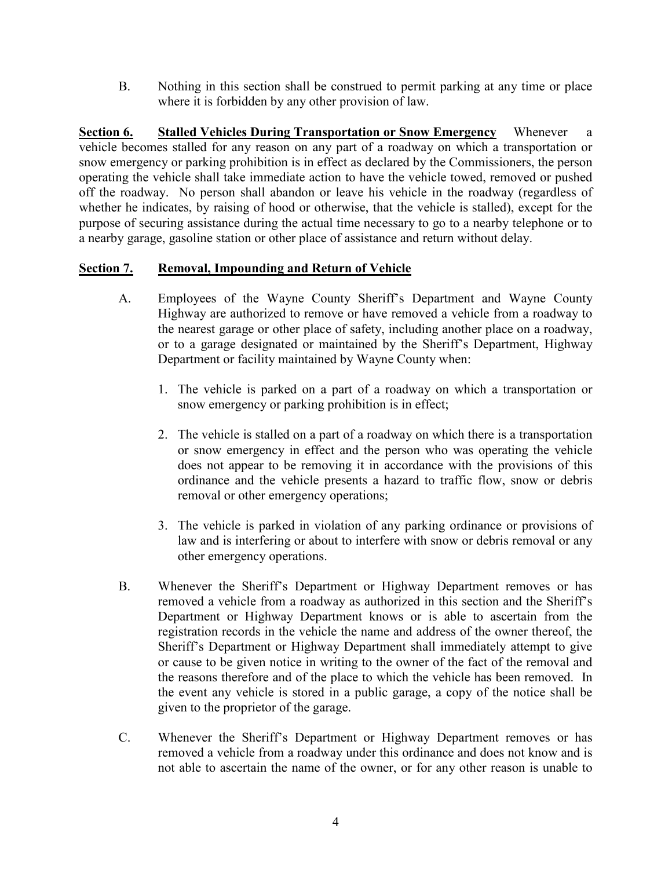B. Nothing in this section shall be construed to permit parking at any time or place where it is forbidden by any other provision of law.

**Section 6. Stalled Vehicles During Transportation or Snow Emergency** Whenever a vehicle becomes stalled for any reason on any part of a roadway on which a transportation or snow emergency or parking prohibition is in effect as declared by the Commissioners, the person operating the vehicle shall take immediate action to have the vehicle towed, removed or pushed off the roadway. No person shall abandon or leave his vehicle in the roadway (regardless of whether he indicates, by raising of hood or otherwise, that the vehicle is stalled), except for the purpose of securing assistance during the actual time necessary to go to a nearby telephone or to a nearby garage, gasoline station or other place of assistance and return without delay.

## **Section 7. Removal, Impounding and Return of Vehicle**

- A. Employees of the Wayne County Sheriff's Department and Wayne County Highway are authorized to remove or have removed a vehicle from a roadway to the nearest garage or other place of safety, including another place on a roadway, or to a garage designated or maintained by the Sheriff's Department, Highway Department or facility maintained by Wayne County when:
	- 1. The vehicle is parked on a part of a roadway on which a transportation or snow emergency or parking prohibition is in effect;
	- 2. The vehicle is stalled on a part of a roadway on which there is a transportation or snow emergency in effect and the person who was operating the vehicle does not appear to be removing it in accordance with the provisions of this ordinance and the vehicle presents a hazard to traffic flow, snow or debris removal or other emergency operations;
	- 3. The vehicle is parked in violation of any parking ordinance or provisions of law and is interfering or about to interfere with snow or debris removal or any other emergency operations.
- B. Whenever the Sheriff's Department or Highway Department removes or has removed a vehicle from a roadway as authorized in this section and the Sheriff's Department or Highway Department knows or is able to ascertain from the registration records in the vehicle the name and address of the owner thereof, the Sheriff's Department or Highway Department shall immediately attempt to give or cause to be given notice in writing to the owner of the fact of the removal and the reasons therefore and of the place to which the vehicle has been removed. In the event any vehicle is stored in a public garage, a copy of the notice shall be given to the proprietor of the garage.
- C. Whenever the Sheriff's Department or Highway Department removes or has removed a vehicle from a roadway under this ordinance and does not know and is not able to ascertain the name of the owner, or for any other reason is unable to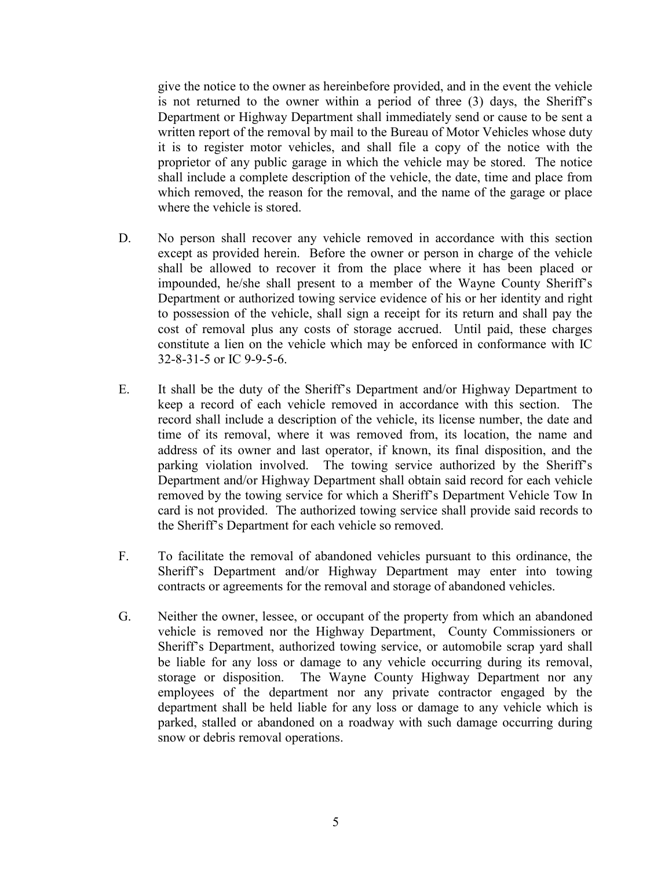give the notice to the owner as hereinbefore provided, and in the event the vehicle is not returned to the owner within a period of three (3) days, the Sheriff's Department or Highway Department shall immediately send or cause to be sent a written report of the removal by mail to the Bureau of Motor Vehicles whose duty it is to register motor vehicles, and shall file a copy of the notice with the proprietor of any public garage in which the vehicle may be stored. The notice shall include a complete description of the vehicle, the date, time and place from which removed, the reason for the removal, and the name of the garage or place where the vehicle is stored.

- D. No person shall recover any vehicle removed in accordance with this section except as provided herein. Before the owner or person in charge of the vehicle shall be allowed to recover it from the place where it has been placed or impounded, he/she shall present to a member of the Wayne County Sheriff's Department or authorized towing service evidence of his or her identity and right to possession of the vehicle, shall sign a receipt for its return and shall pay the cost of removal plus any costs of storage accrued. Until paid, these charges constitute a lien on the vehicle which may be enforced in conformance with IC 32-8-31-5 or IC 9-9-5-6.
- E. It shall be the duty of the Sheriff's Department and/or Highway Department to keep a record of each vehicle removed in accordance with this section. The record shall include a description of the vehicle, its license number, the date and time of its removal, where it was removed from, its location, the name and address of its owner and last operator, if known, its final disposition, and the parking violation involved. The towing service authorized by the Sheriff's Department and/or Highway Department shall obtain said record for each vehicle removed by the towing service for which a Sheriff's Department Vehicle Tow In card is not provided. The authorized towing service shall provide said records to the Sheriff's Department for each vehicle so removed.
- F. To facilitate the removal of abandoned vehicles pursuant to this ordinance, the Sheriff's Department and/or Highway Department may enter into towing contracts or agreements for the removal and storage of abandoned vehicles.
- G. Neither the owner, lessee, or occupant of the property from which an abandoned vehicle is removed nor the Highway Department, County Commissioners or Sheriff's Department, authorized towing service, or automobile scrap yard shall be liable for any loss or damage to any vehicle occurring during its removal, storage or disposition. The Wayne County Highway Department nor any employees of the department nor any private contractor engaged by the department shall be held liable for any loss or damage to any vehicle which is parked, stalled or abandoned on a roadway with such damage occurring during snow or debris removal operations.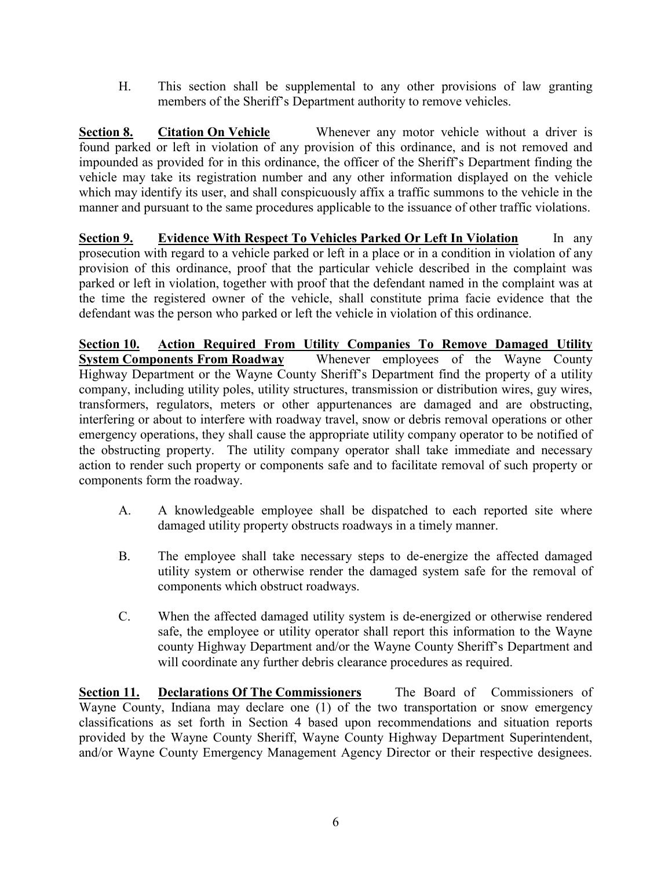H. This section shall be supplemental to any other provisions of law granting members of the Sheriff's Department authority to remove vehicles.

**Section 8. Citation On Vehicle** Whenever any motor vehicle without a driver is found parked or left in violation of any provision of this ordinance, and is not removed and impounded as provided for in this ordinance, the officer of the Sheriff's Department finding the vehicle may take its registration number and any other information displayed on the vehicle which may identify its user, and shall conspicuously affix a traffic summons to the vehicle in the manner and pursuant to the same procedures applicable to the issuance of other traffic violations.

**Section 9. Evidence With Respect To Vehicles Parked Or Left In Violation** In any prosecution with regard to a vehicle parked or left in a place or in a condition in violation of any provision of this ordinance, proof that the particular vehicle described in the complaint was parked or left in violation, together with proof that the defendant named in the complaint was at the time the registered owner of the vehicle, shall constitute prima facie evidence that the defendant was the person who parked or left the vehicle in violation of this ordinance.

**Section 10. Action Required From Utility Companies To Remove Damaged Utility System Components From Roadway** Whenever employees of the Wayne County Highway Department or the Wayne County Sheriff's Department find the property of a utility company, including utility poles, utility structures, transmission or distribution wires, guy wires, transformers, regulators, meters or other appurtenances are damaged and are obstructing, interfering or about to interfere with roadway travel, snow or debris removal operations or other emergency operations, they shall cause the appropriate utility company operator to be notified of the obstructing property. The utility company operator shall take immediate and necessary action to render such property or components safe and to facilitate removal of such property or components form the roadway.

- A. A knowledgeable employee shall be dispatched to each reported site where damaged utility property obstructs roadways in a timely manner.
- B. The employee shall take necessary steps to de-energize the affected damaged utility system or otherwise render the damaged system safe for the removal of components which obstruct roadways.
- C. When the affected damaged utility system is de-energized or otherwise rendered safe, the employee or utility operator shall report this information to the Wayne county Highway Department and/or the Wayne County Sheriff's Department and will coordinate any further debris clearance procedures as required.

**Section 11. Declarations Of The Commissioners** The Board of Commissioners of Wayne County, Indiana may declare one (1) of the two transportation or snow emergency classifications as set forth in Section 4 based upon recommendations and situation reports provided by the Wayne County Sheriff, Wayne County Highway Department Superintendent, and/or Wayne County Emergency Management Agency Director or their respective designees.